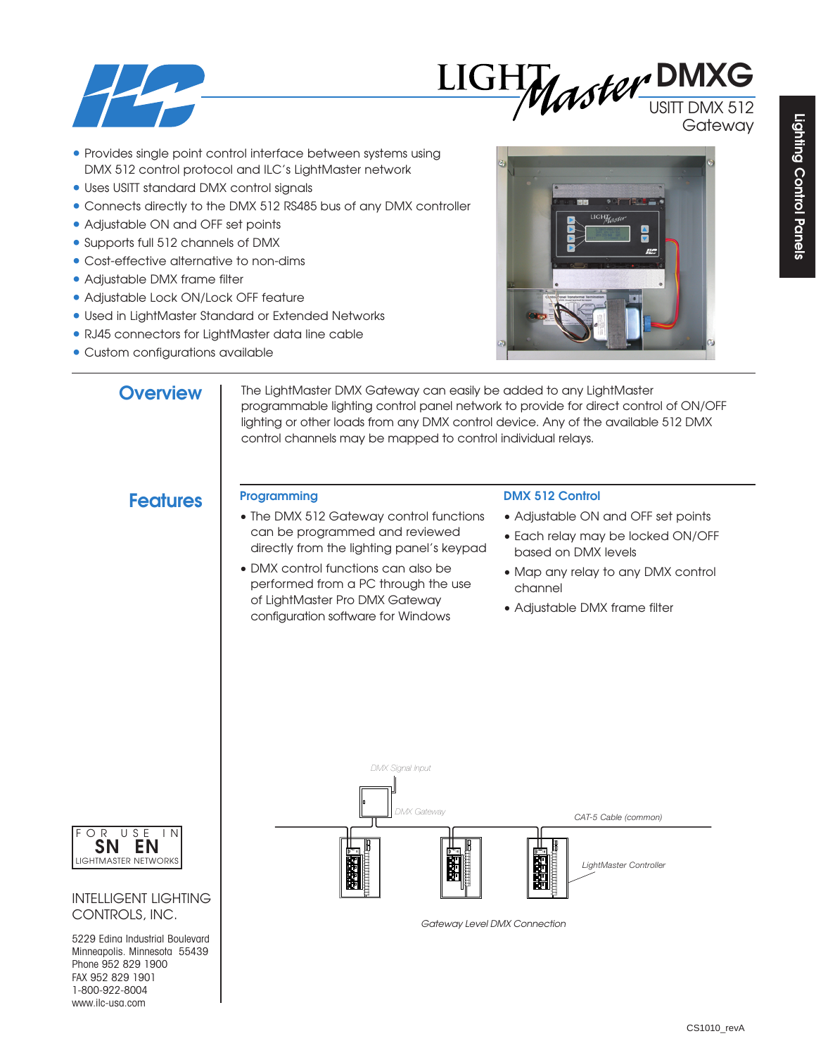



**Gateway** 

- Provides single point control interface between systems using DMX 512 control protocol and ILC's LightMaster network
- Uses USITT standard DMX control signals
- Connects directly to the DMX 512 RS485 bus of any DMX controller
- Adjustable ON and OFF set points
- Supports full 512 channels of DMX
- Cost-effective alternative to non-dims
- Adjustable DMX frame filter
- Adjustable Lock ON/Lock OFF feature
- Used in LightMaster Standard or Extended Networks
- RJ45 connectors for LightMaster data line cable
- Custom configurations available



# **Overview**

The LightMaster DMX Gateway can easily be added to any LightMaster programmable lighting control panel network to provide for direct control of ON/OFF lighting or other loads from any DMX control device. Any of the available 512 DMX control channels may be mapped to control individual relays.

# **Features Programming**

- The DMX 512 Gateway control functions can be programmed and reviewed directly from the lighting panel's keypad
- DMX control functions can also be performed from a PC through the use of LightMaster Pro DMX Gateway configuration software for Windows

### **DMX 512 Control**

- Adjustable ON and OFF set points
- Each relay may be locked ON/OFF based on DMX levels
- Map any relay to any DMX control channel
- Adjustable DMX frame filter







### INTELLIGENT LIGHTING CONTROLS, INC.

5229 Edina Industrial Boulevard Minneapolis. Minnesota 55439 Phone 952 829 1900 FAX 952 829 1901 1-800-922-8004 www.ilc-usa.com